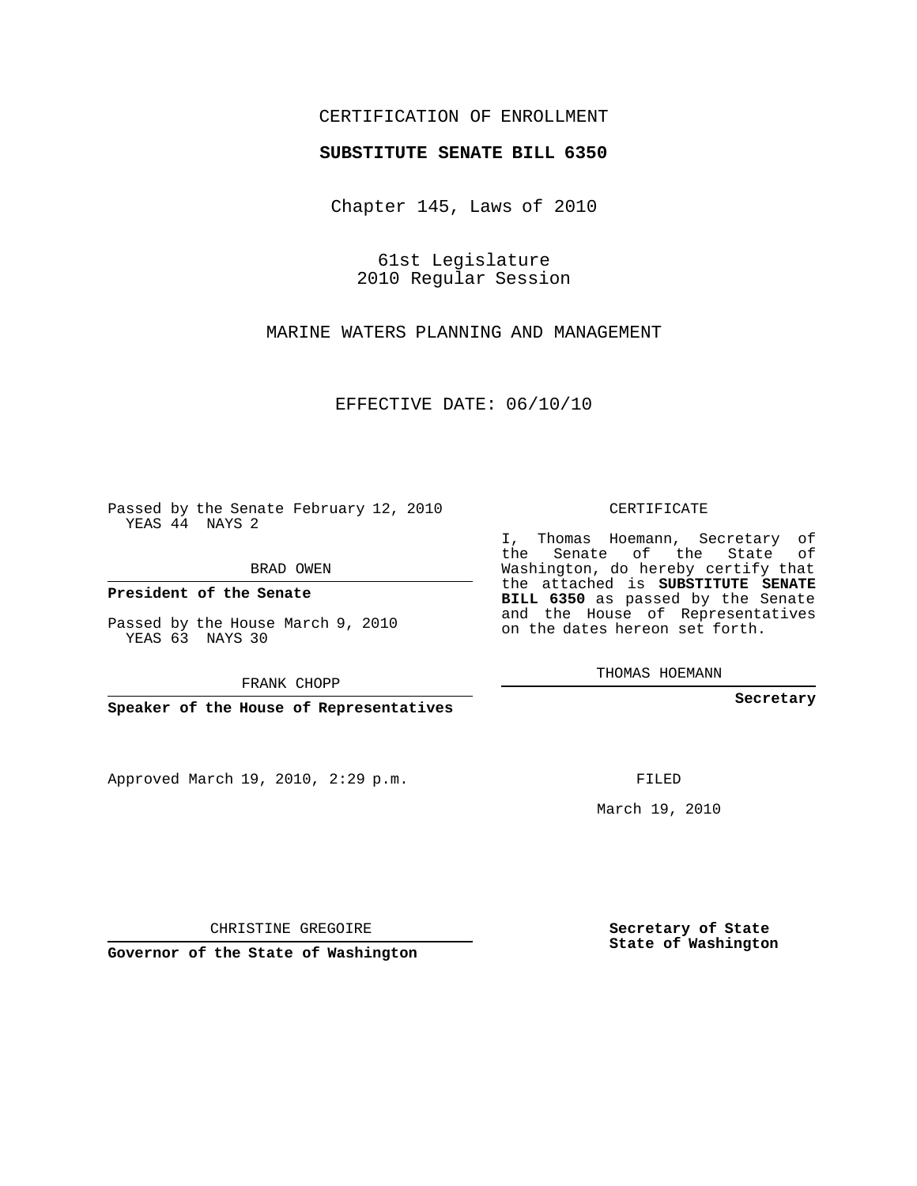## CERTIFICATION OF ENROLLMENT

## **SUBSTITUTE SENATE BILL 6350**

Chapter 145, Laws of 2010

61st Legislature 2010 Regular Session

MARINE WATERS PLANNING AND MANAGEMENT

EFFECTIVE DATE: 06/10/10

Passed by the Senate February 12, 2010 YEAS 44 NAYS 2

BRAD OWEN

**President of the Senate**

Passed by the House March 9, 2010 YEAS 63 NAYS 30

FRANK CHOPP

**Speaker of the House of Representatives**

Approved March 19, 2010, 2:29 p.m.

CERTIFICATE

I, Thomas Hoemann, Secretary of the Senate of the State of Washington, do hereby certify that the attached is **SUBSTITUTE SENATE BILL 6350** as passed by the Senate and the House of Representatives on the dates hereon set forth.

THOMAS HOEMANN

**Secretary**

FILED

March 19, 2010

**Secretary of State State of Washington**

CHRISTINE GREGOIRE

**Governor of the State of Washington**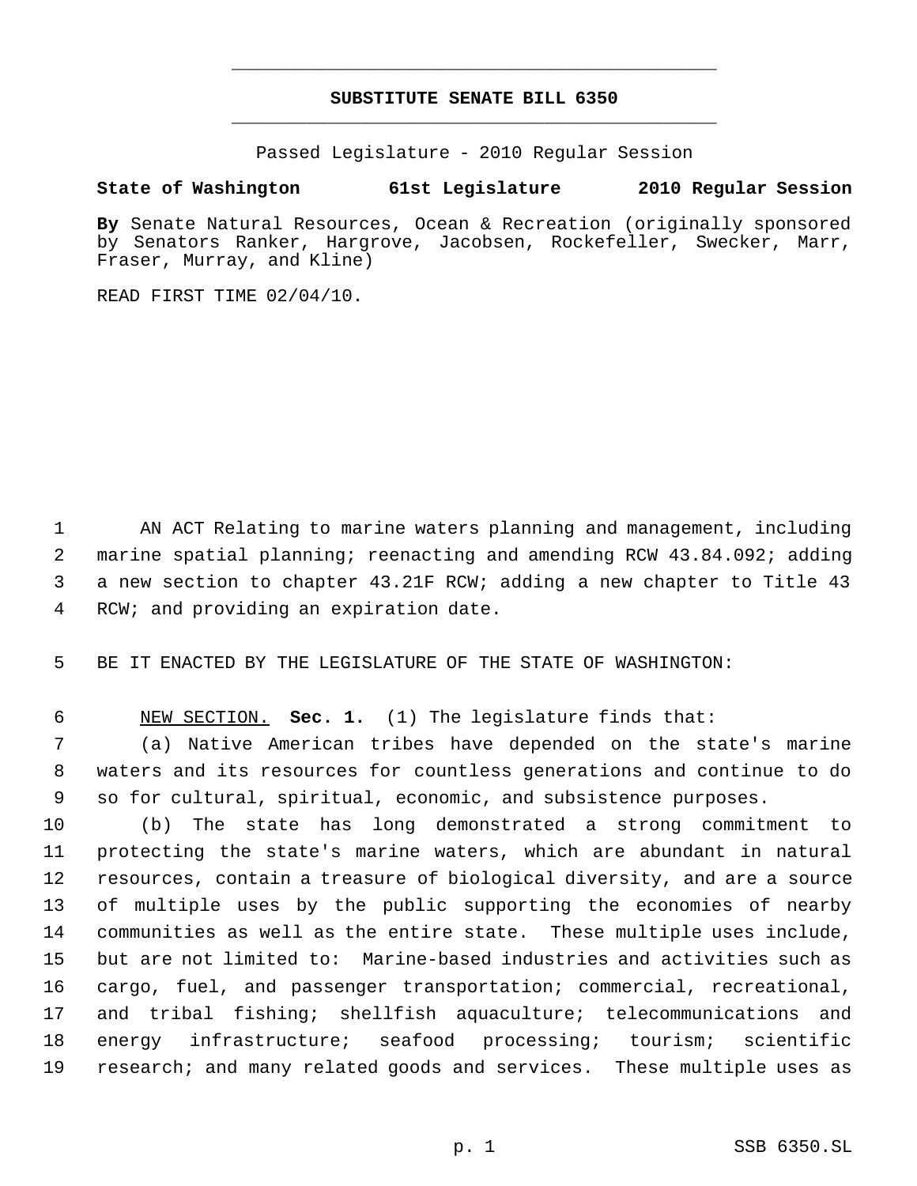## **SUBSTITUTE SENATE BILL 6350** \_\_\_\_\_\_\_\_\_\_\_\_\_\_\_\_\_\_\_\_\_\_\_\_\_\_\_\_\_\_\_\_\_\_\_\_\_\_\_\_\_\_\_\_\_

\_\_\_\_\_\_\_\_\_\_\_\_\_\_\_\_\_\_\_\_\_\_\_\_\_\_\_\_\_\_\_\_\_\_\_\_\_\_\_\_\_\_\_\_\_

Passed Legislature - 2010 Regular Session

## **State of Washington 61st Legislature 2010 Regular Session**

**By** Senate Natural Resources, Ocean & Recreation (originally sponsored by Senators Ranker, Hargrove, Jacobsen, Rockefeller, Swecker, Marr, Fraser, Murray, and Kline)

READ FIRST TIME 02/04/10.

 AN ACT Relating to marine waters planning and management, including marine spatial planning; reenacting and amending RCW 43.84.092; adding a new section to chapter 43.21F RCW; adding a new chapter to Title 43 RCW; and providing an expiration date.

BE IT ENACTED BY THE LEGISLATURE OF THE STATE OF WASHINGTON:

NEW SECTION. **Sec. 1.** (1) The legislature finds that:

 (a) Native American tribes have depended on the state's marine waters and its resources for countless generations and continue to do so for cultural, spiritual, economic, and subsistence purposes.

 (b) The state has long demonstrated a strong commitment to protecting the state's marine waters, which are abundant in natural resources, contain a treasure of biological diversity, and are a source of multiple uses by the public supporting the economies of nearby communities as well as the entire state. These multiple uses include, but are not limited to: Marine-based industries and activities such as cargo, fuel, and passenger transportation; commercial, recreational, and tribal fishing; shellfish aquaculture; telecommunications and energy infrastructure; seafood processing; tourism; scientific research; and many related goods and services. These multiple uses as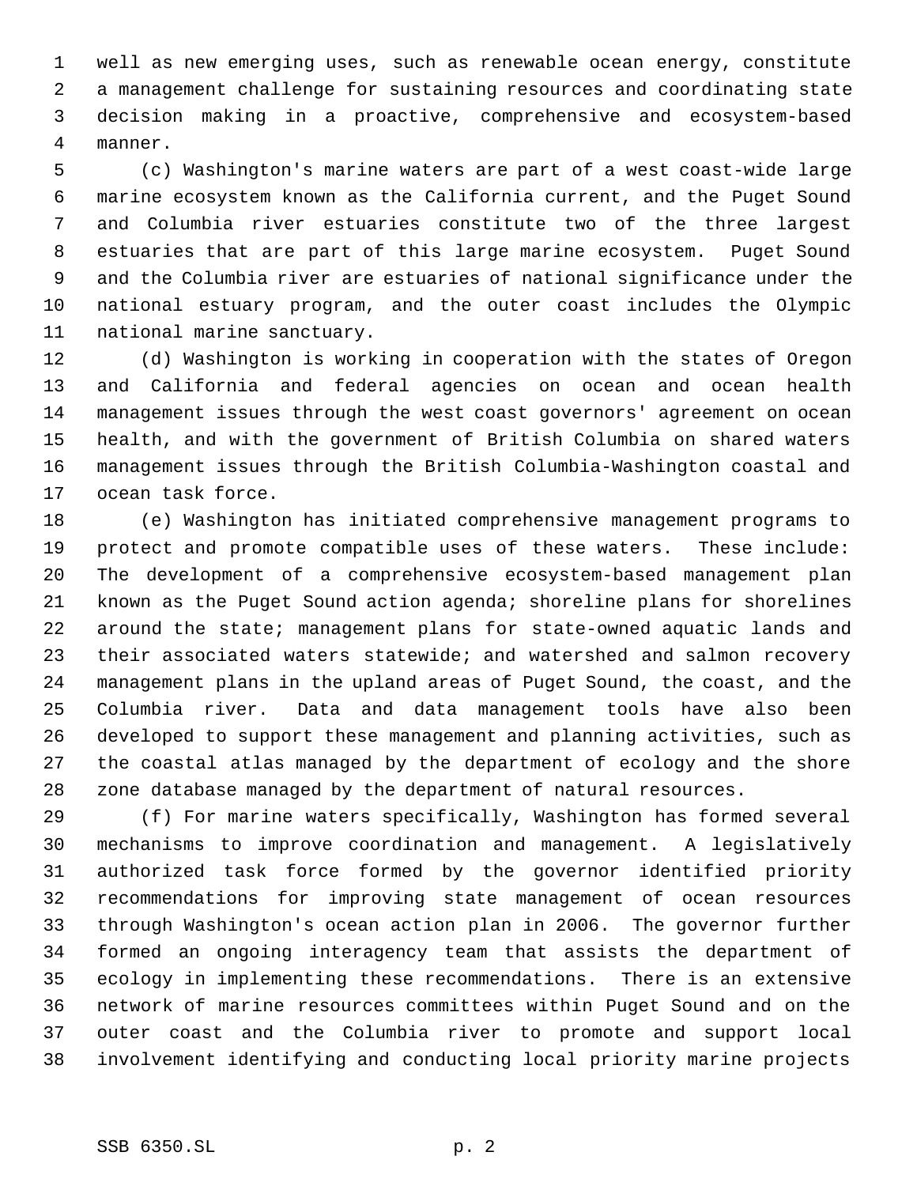well as new emerging uses, such as renewable ocean energy, constitute a management challenge for sustaining resources and coordinating state decision making in a proactive, comprehensive and ecosystem-based manner.

 (c) Washington's marine waters are part of a west coast-wide large marine ecosystem known as the California current, and the Puget Sound and Columbia river estuaries constitute two of the three largest estuaries that are part of this large marine ecosystem. Puget Sound and the Columbia river are estuaries of national significance under the national estuary program, and the outer coast includes the Olympic national marine sanctuary.

 (d) Washington is working in cooperation with the states of Oregon and California and federal agencies on ocean and ocean health management issues through the west coast governors' agreement on ocean health, and with the government of British Columbia on shared waters management issues through the British Columbia-Washington coastal and ocean task force.

 (e) Washington has initiated comprehensive management programs to protect and promote compatible uses of these waters. These include: The development of a comprehensive ecosystem-based management plan known as the Puget Sound action agenda; shoreline plans for shorelines around the state; management plans for state-owned aquatic lands and their associated waters statewide; and watershed and salmon recovery management plans in the upland areas of Puget Sound, the coast, and the Columbia river. Data and data management tools have also been developed to support these management and planning activities, such as the coastal atlas managed by the department of ecology and the shore zone database managed by the department of natural resources.

 (f) For marine waters specifically, Washington has formed several mechanisms to improve coordination and management. A legislatively authorized task force formed by the governor identified priority recommendations for improving state management of ocean resources through Washington's ocean action plan in 2006. The governor further formed an ongoing interagency team that assists the department of ecology in implementing these recommendations. There is an extensive network of marine resources committees within Puget Sound and on the outer coast and the Columbia river to promote and support local involvement identifying and conducting local priority marine projects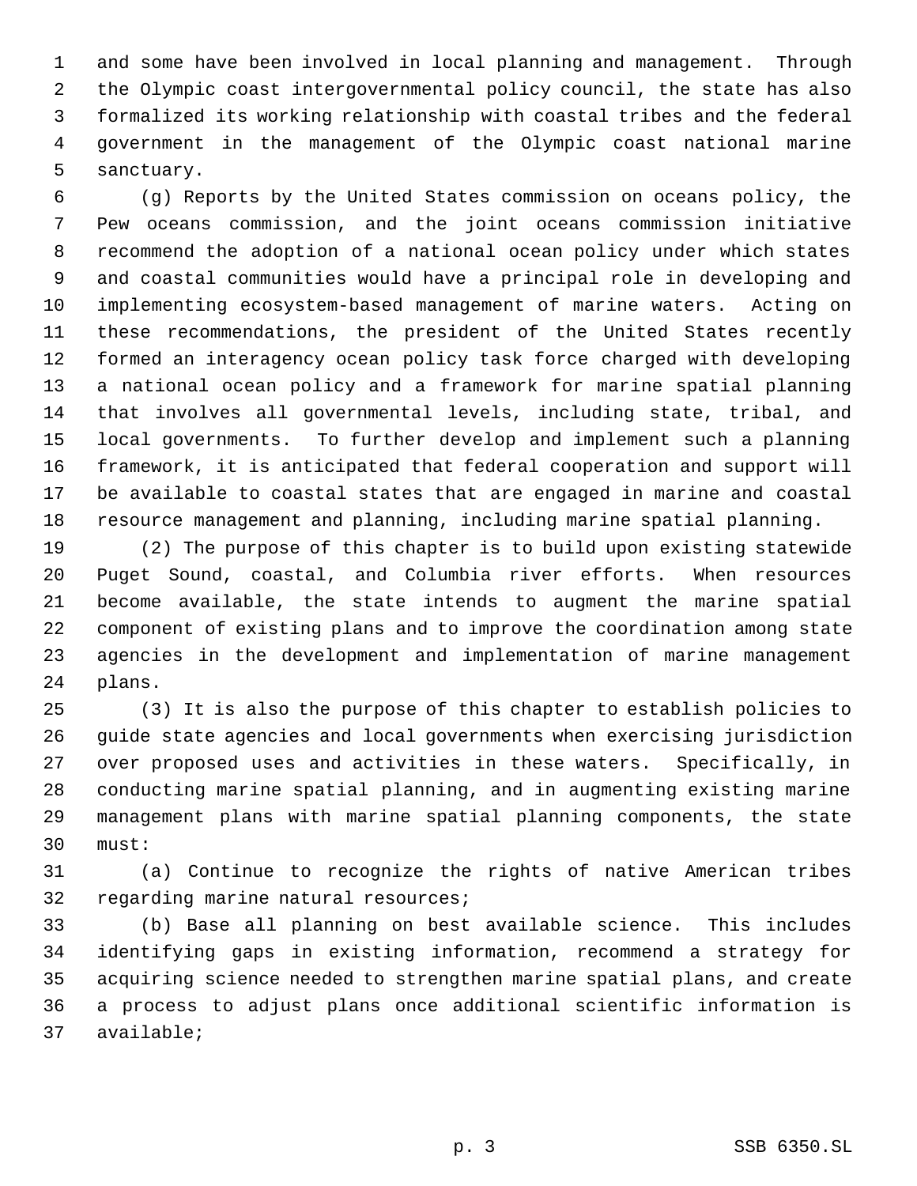and some have been involved in local planning and management. Through the Olympic coast intergovernmental policy council, the state has also formalized its working relationship with coastal tribes and the federal government in the management of the Olympic coast national marine sanctuary.

 (g) Reports by the United States commission on oceans policy, the Pew oceans commission, and the joint oceans commission initiative recommend the adoption of a national ocean policy under which states and coastal communities would have a principal role in developing and implementing ecosystem-based management of marine waters. Acting on these recommendations, the president of the United States recently formed an interagency ocean policy task force charged with developing a national ocean policy and a framework for marine spatial planning that involves all governmental levels, including state, tribal, and local governments. To further develop and implement such a planning framework, it is anticipated that federal cooperation and support will be available to coastal states that are engaged in marine and coastal resource management and planning, including marine spatial planning.

 (2) The purpose of this chapter is to build upon existing statewide Puget Sound, coastal, and Columbia river efforts. When resources become available, the state intends to augment the marine spatial component of existing plans and to improve the coordination among state agencies in the development and implementation of marine management plans.

 (3) It is also the purpose of this chapter to establish policies to guide state agencies and local governments when exercising jurisdiction over proposed uses and activities in these waters. Specifically, in conducting marine spatial planning, and in augmenting existing marine management plans with marine spatial planning components, the state must:

 (a) Continue to recognize the rights of native American tribes regarding marine natural resources;

 (b) Base all planning on best available science. This includes identifying gaps in existing information, recommend a strategy for acquiring science needed to strengthen marine spatial plans, and create a process to adjust plans once additional scientific information is available;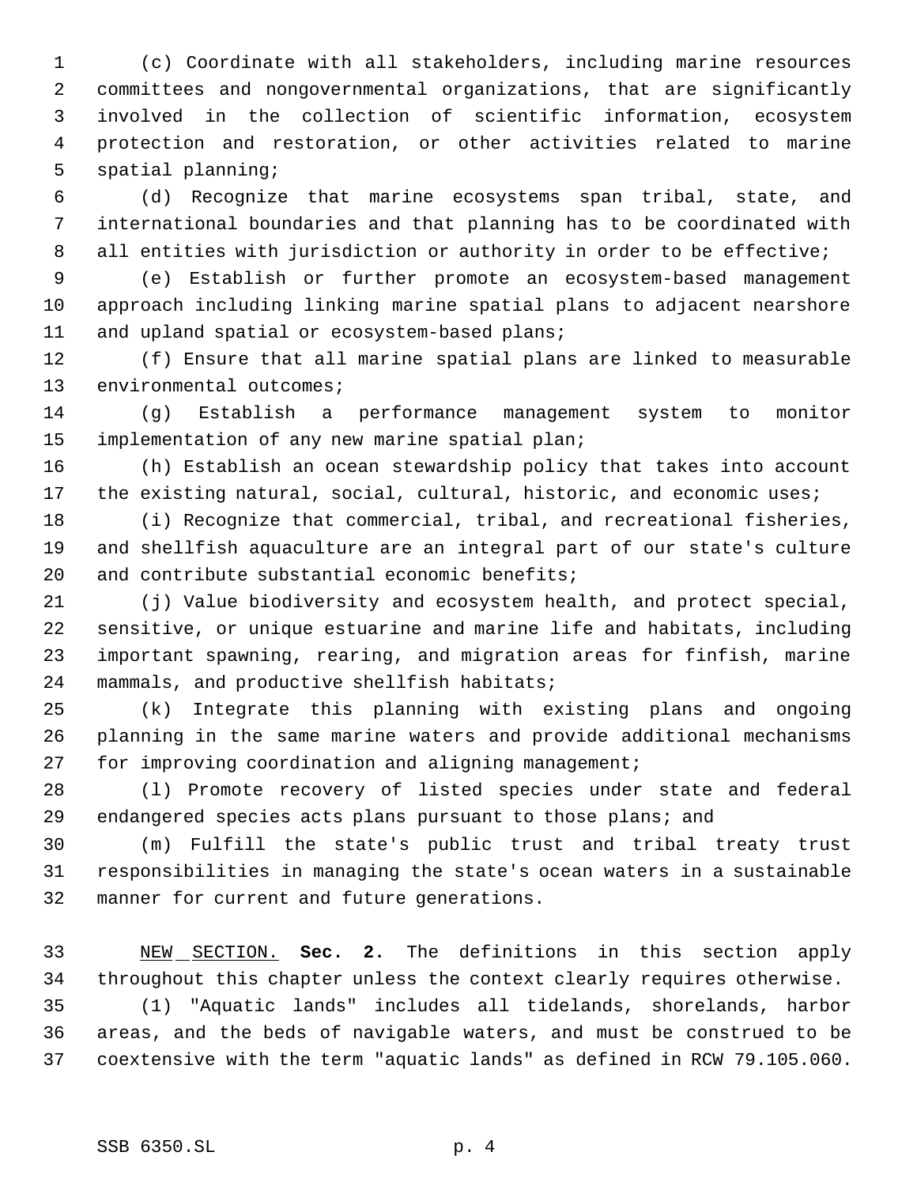(c) Coordinate with all stakeholders, including marine resources committees and nongovernmental organizations, that are significantly involved in the collection of scientific information, ecosystem protection and restoration, or other activities related to marine spatial planning;

 (d) Recognize that marine ecosystems span tribal, state, and international boundaries and that planning has to be coordinated with all entities with jurisdiction or authority in order to be effective;

 (e) Establish or further promote an ecosystem-based management approach including linking marine spatial plans to adjacent nearshore and upland spatial or ecosystem-based plans;

 (f) Ensure that all marine spatial plans are linked to measurable 13 environmental outcomes;

 (g) Establish a performance management system to monitor implementation of any new marine spatial plan;

 (h) Establish an ocean stewardship policy that takes into account 17 the existing natural, social, cultural, historic, and economic uses;

 (i) Recognize that commercial, tribal, and recreational fisheries, and shellfish aquaculture are an integral part of our state's culture 20 and contribute substantial economic benefits;

 (j) Value biodiversity and ecosystem health, and protect special, sensitive, or unique estuarine and marine life and habitats, including important spawning, rearing, and migration areas for finfish, marine mammals, and productive shellfish habitats;

 (k) Integrate this planning with existing plans and ongoing planning in the same marine waters and provide additional mechanisms for improving coordination and aligning management;

 (l) Promote recovery of listed species under state and federal endangered species acts plans pursuant to those plans; and

 (m) Fulfill the state's public trust and tribal treaty trust responsibilities in managing the state's ocean waters in a sustainable manner for current and future generations.

 NEW SECTION. **Sec. 2.** The definitions in this section apply throughout this chapter unless the context clearly requires otherwise. (1) "Aquatic lands" includes all tidelands, shorelands, harbor areas, and the beds of navigable waters, and must be construed to be coextensive with the term "aquatic lands" as defined in RCW 79.105.060.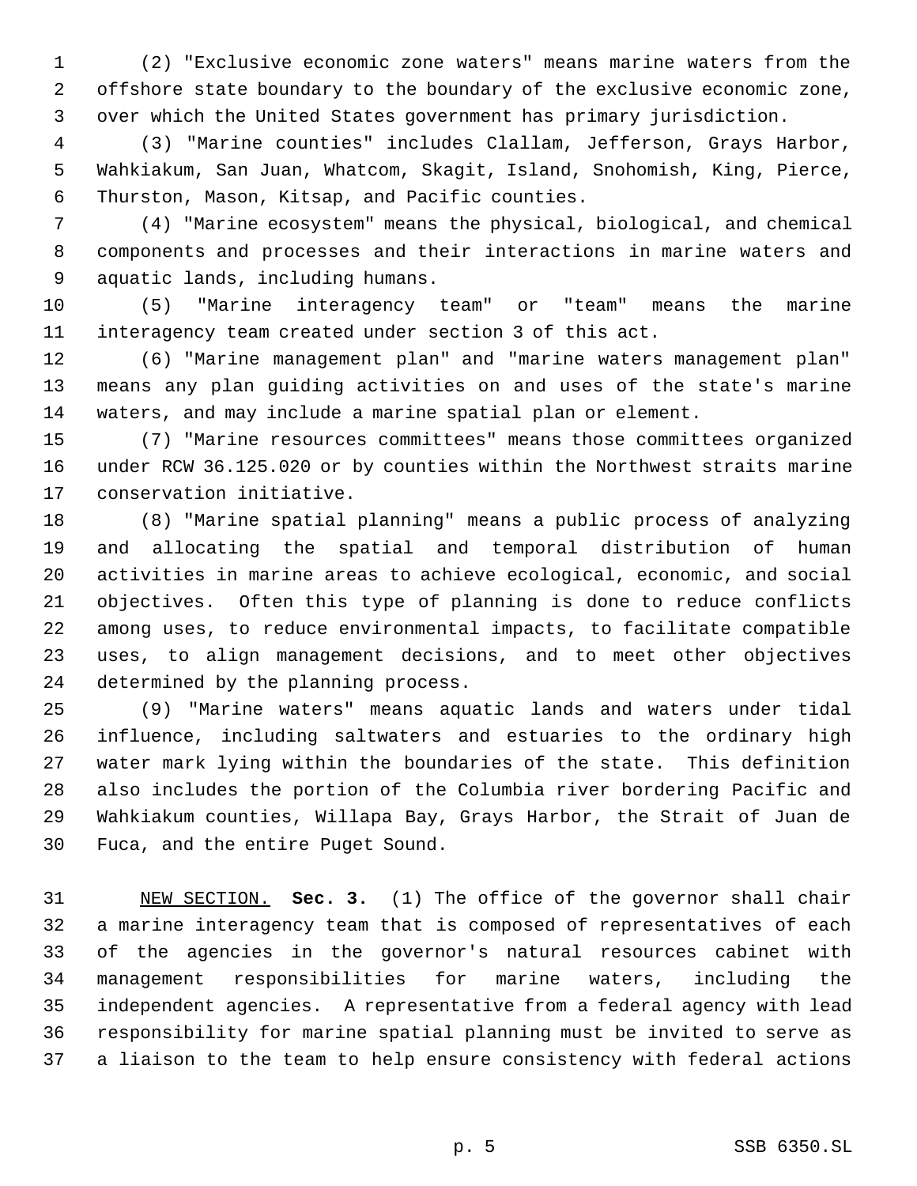(2) "Exclusive economic zone waters" means marine waters from the offshore state boundary to the boundary of the exclusive economic zone, over which the United States government has primary jurisdiction.

 (3) "Marine counties" includes Clallam, Jefferson, Grays Harbor, Wahkiakum, San Juan, Whatcom, Skagit, Island, Snohomish, King, Pierce, Thurston, Mason, Kitsap, and Pacific counties.

 (4) "Marine ecosystem" means the physical, biological, and chemical components and processes and their interactions in marine waters and aquatic lands, including humans.

 (5) "Marine interagency team" or "team" means the marine interagency team created under section 3 of this act.

 (6) "Marine management plan" and "marine waters management plan" means any plan guiding activities on and uses of the state's marine waters, and may include a marine spatial plan or element.

 (7) "Marine resources committees" means those committees organized under RCW 36.125.020 or by counties within the Northwest straits marine conservation initiative.

 (8) "Marine spatial planning" means a public process of analyzing and allocating the spatial and temporal distribution of human activities in marine areas to achieve ecological, economic, and social objectives. Often this type of planning is done to reduce conflicts among uses, to reduce environmental impacts, to facilitate compatible uses, to align management decisions, and to meet other objectives determined by the planning process.

 (9) "Marine waters" means aquatic lands and waters under tidal influence, including saltwaters and estuaries to the ordinary high water mark lying within the boundaries of the state. This definition also includes the portion of the Columbia river bordering Pacific and Wahkiakum counties, Willapa Bay, Grays Harbor, the Strait of Juan de Fuca, and the entire Puget Sound.

 NEW SECTION. **Sec. 3.** (1) The office of the governor shall chair a marine interagency team that is composed of representatives of each of the agencies in the governor's natural resources cabinet with management responsibilities for marine waters, including the independent agencies. A representative from a federal agency with lead responsibility for marine spatial planning must be invited to serve as a liaison to the team to help ensure consistency with federal actions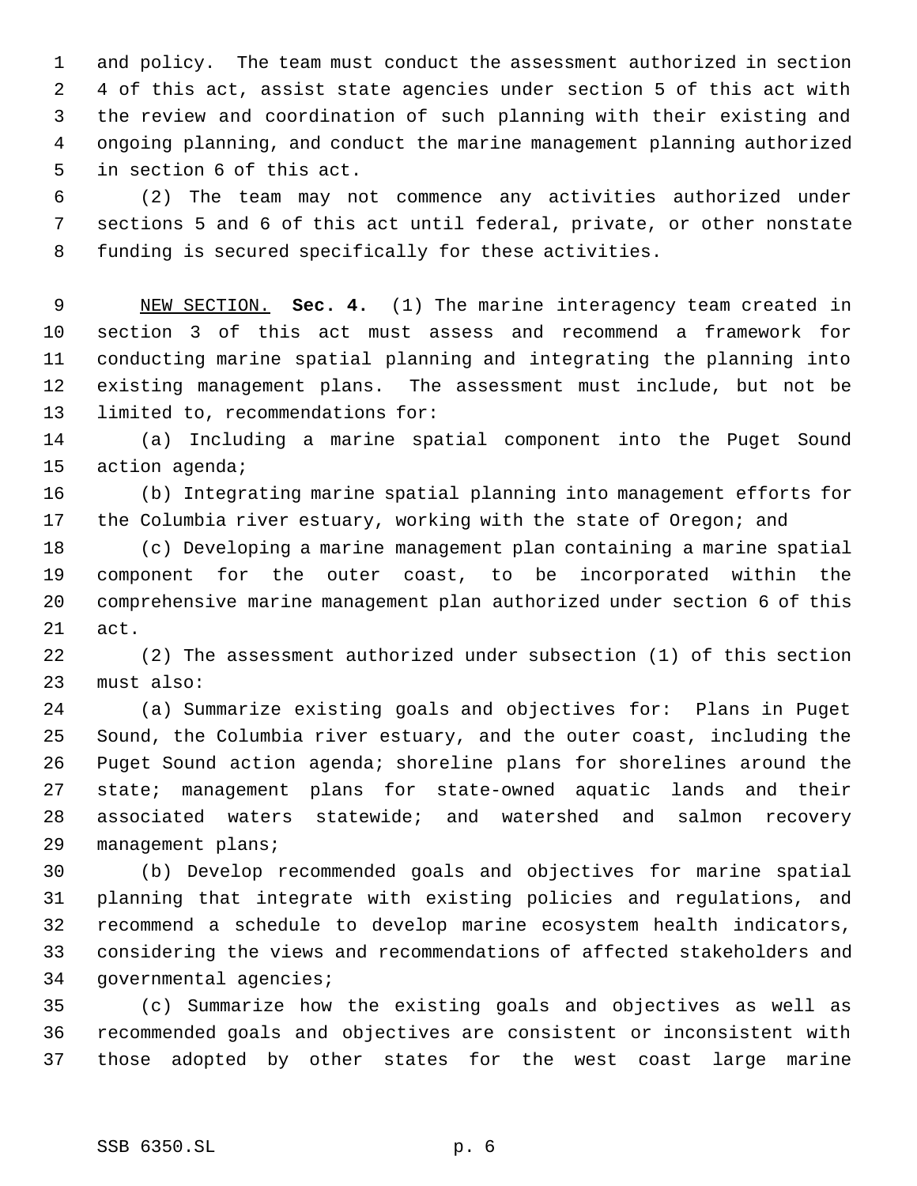and policy. The team must conduct the assessment authorized in section 4 of this act, assist state agencies under section 5 of this act with the review and coordination of such planning with their existing and ongoing planning, and conduct the marine management planning authorized in section 6 of this act.

 (2) The team may not commence any activities authorized under sections 5 and 6 of this act until federal, private, or other nonstate funding is secured specifically for these activities.

 NEW SECTION. **Sec. 4.** (1) The marine interagency team created in section 3 of this act must assess and recommend a framework for conducting marine spatial planning and integrating the planning into existing management plans. The assessment must include, but not be limited to, recommendations for:

 (a) Including a marine spatial component into the Puget Sound action agenda;

 (b) Integrating marine spatial planning into management efforts for 17 the Columbia river estuary, working with the state of Oregon; and

 (c) Developing a marine management plan containing a marine spatial component for the outer coast, to be incorporated within the comprehensive marine management plan authorized under section 6 of this act.

 (2) The assessment authorized under subsection (1) of this section must also:

 (a) Summarize existing goals and objectives for: Plans in Puget Sound, the Columbia river estuary, and the outer coast, including the Puget Sound action agenda; shoreline plans for shorelines around the state; management plans for state-owned aquatic lands and their associated waters statewide; and watershed and salmon recovery management plans;

 (b) Develop recommended goals and objectives for marine spatial planning that integrate with existing policies and regulations, and recommend a schedule to develop marine ecosystem health indicators, considering the views and recommendations of affected stakeholders and governmental agencies;

 (c) Summarize how the existing goals and objectives as well as recommended goals and objectives are consistent or inconsistent with those adopted by other states for the west coast large marine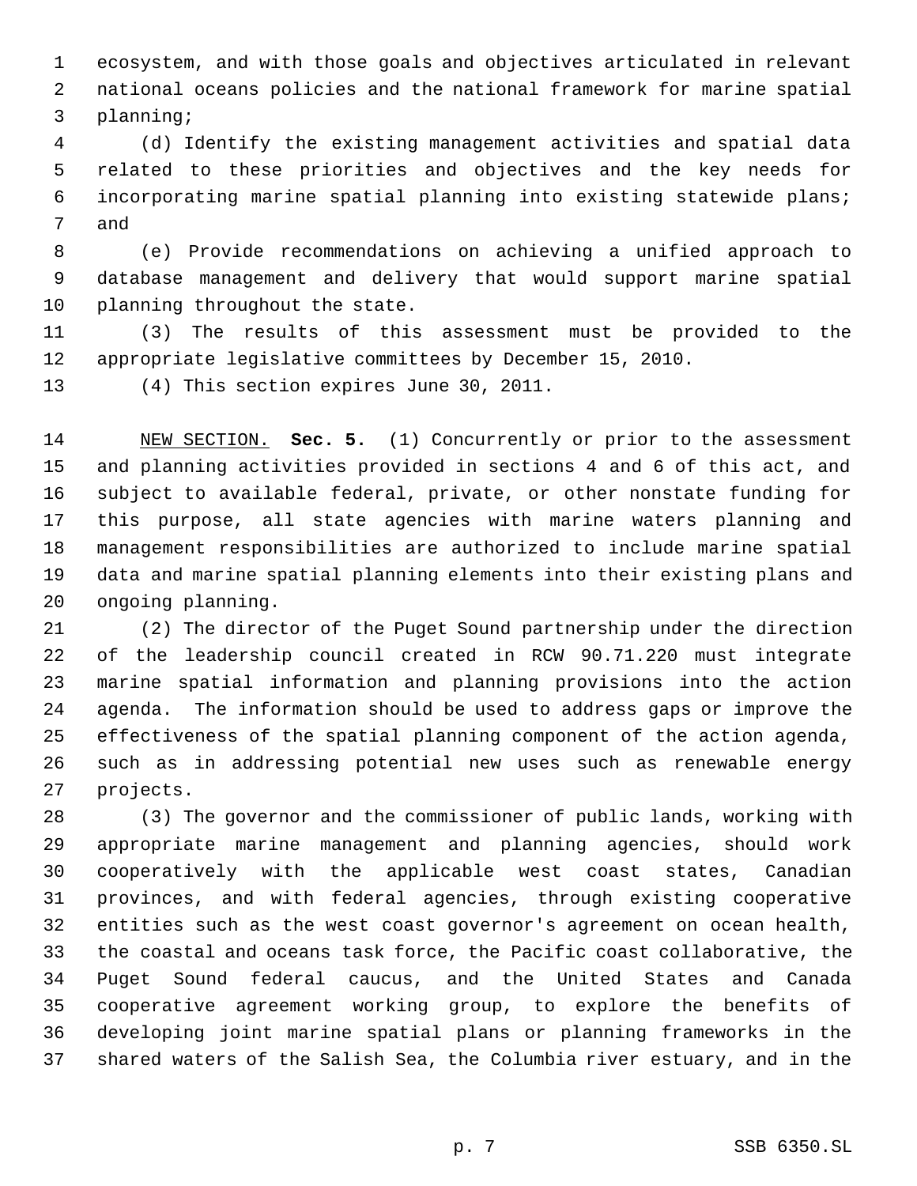ecosystem, and with those goals and objectives articulated in relevant national oceans policies and the national framework for marine spatial planning;

 (d) Identify the existing management activities and spatial data related to these priorities and objectives and the key needs for incorporating marine spatial planning into existing statewide plans; and

 (e) Provide recommendations on achieving a unified approach to database management and delivery that would support marine spatial planning throughout the state.

 (3) The results of this assessment must be provided to the appropriate legislative committees by December 15, 2010.

(4) This section expires June 30, 2011.

 NEW SECTION. **Sec. 5.** (1) Concurrently or prior to the assessment and planning activities provided in sections 4 and 6 of this act, and subject to available federal, private, or other nonstate funding for this purpose, all state agencies with marine waters planning and management responsibilities are authorized to include marine spatial data and marine spatial planning elements into their existing plans and ongoing planning.

 (2) The director of the Puget Sound partnership under the direction of the leadership council created in RCW 90.71.220 must integrate marine spatial information and planning provisions into the action agenda. The information should be used to address gaps or improve the effectiveness of the spatial planning component of the action agenda, such as in addressing potential new uses such as renewable energy projects.

 (3) The governor and the commissioner of public lands, working with appropriate marine management and planning agencies, should work cooperatively with the applicable west coast states, Canadian provinces, and with federal agencies, through existing cooperative entities such as the west coast governor's agreement on ocean health, the coastal and oceans task force, the Pacific coast collaborative, the Puget Sound federal caucus, and the United States and Canada cooperative agreement working group, to explore the benefits of developing joint marine spatial plans or planning frameworks in the shared waters of the Salish Sea, the Columbia river estuary, and in the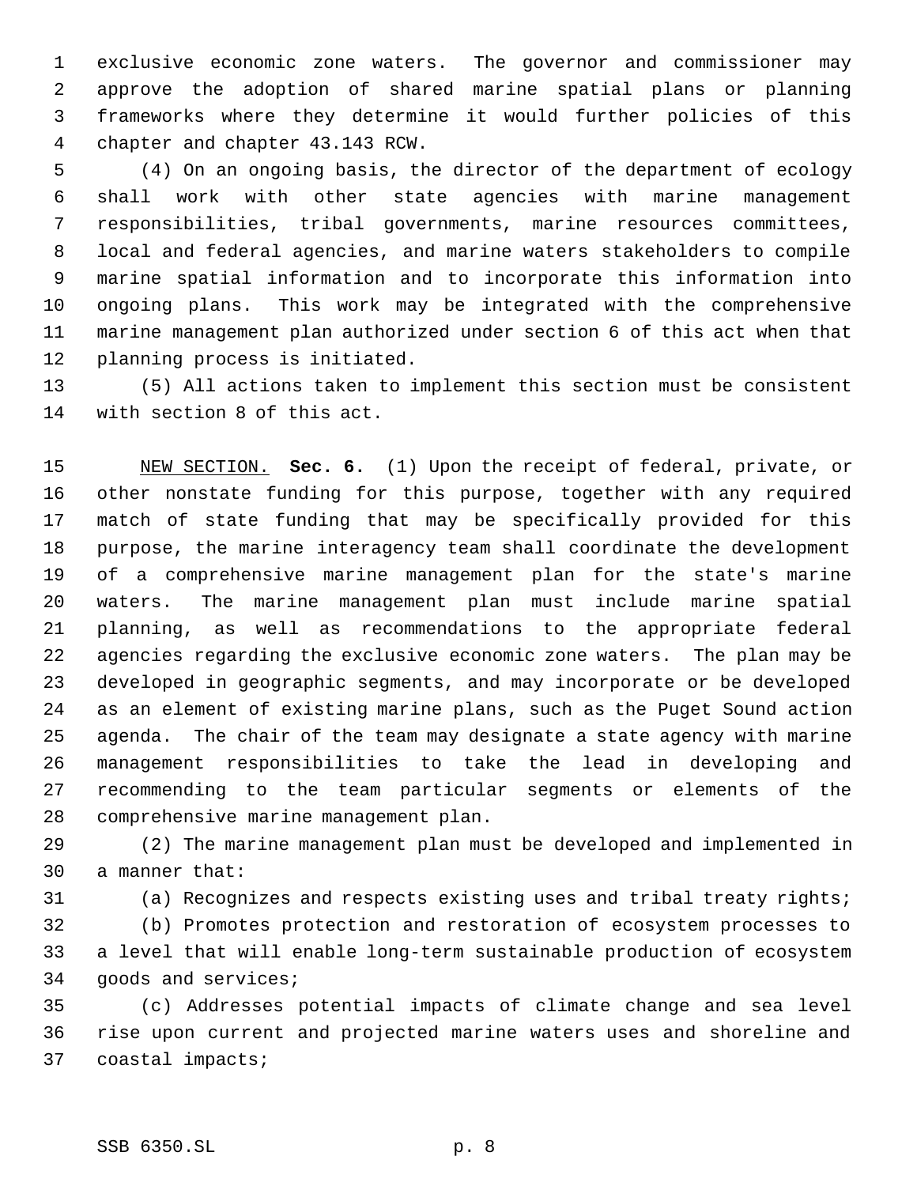exclusive economic zone waters. The governor and commissioner may approve the adoption of shared marine spatial plans or planning frameworks where they determine it would further policies of this chapter and chapter 43.143 RCW.

 (4) On an ongoing basis, the director of the department of ecology shall work with other state agencies with marine management responsibilities, tribal governments, marine resources committees, local and federal agencies, and marine waters stakeholders to compile marine spatial information and to incorporate this information into ongoing plans. This work may be integrated with the comprehensive marine management plan authorized under section 6 of this act when that planning process is initiated.

 (5) All actions taken to implement this section must be consistent with section 8 of this act.

 NEW SECTION. **Sec. 6.** (1) Upon the receipt of federal, private, or other nonstate funding for this purpose, together with any required match of state funding that may be specifically provided for this purpose, the marine interagency team shall coordinate the development of a comprehensive marine management plan for the state's marine waters. The marine management plan must include marine spatial planning, as well as recommendations to the appropriate federal agencies regarding the exclusive economic zone waters. The plan may be developed in geographic segments, and may incorporate or be developed as an element of existing marine plans, such as the Puget Sound action agenda. The chair of the team may designate a state agency with marine management responsibilities to take the lead in developing and recommending to the team particular segments or elements of the comprehensive marine management plan.

 (2) The marine management plan must be developed and implemented in a manner that:

(a) Recognizes and respects existing uses and tribal treaty rights;

 (b) Promotes protection and restoration of ecosystem processes to a level that will enable long-term sustainable production of ecosystem goods and services;

 (c) Addresses potential impacts of climate change and sea level rise upon current and projected marine waters uses and shoreline and coastal impacts;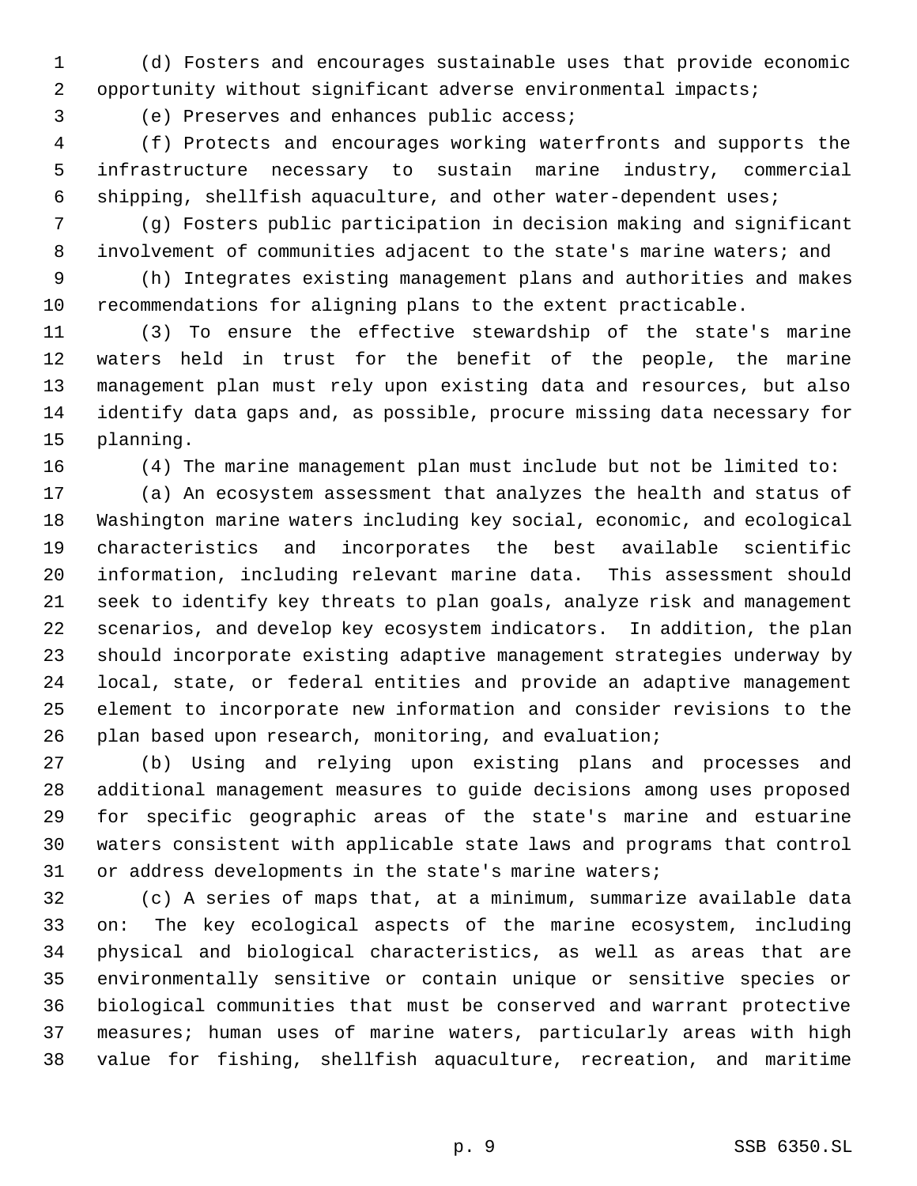(d) Fosters and encourages sustainable uses that provide economic opportunity without significant adverse environmental impacts;

(e) Preserves and enhances public access;

 (f) Protects and encourages working waterfronts and supports the infrastructure necessary to sustain marine industry, commercial shipping, shellfish aquaculture, and other water-dependent uses;

 (g) Fosters public participation in decision making and significant 8 involvement of communities adjacent to the state's marine waters; and

 (h) Integrates existing management plans and authorities and makes recommendations for aligning plans to the extent practicable.

 (3) To ensure the effective stewardship of the state's marine waters held in trust for the benefit of the people, the marine management plan must rely upon existing data and resources, but also identify data gaps and, as possible, procure missing data necessary for planning.

(4) The marine management plan must include but not be limited to:

 (a) An ecosystem assessment that analyzes the health and status of Washington marine waters including key social, economic, and ecological characteristics and incorporates the best available scientific information, including relevant marine data. This assessment should seek to identify key threats to plan goals, analyze risk and management scenarios, and develop key ecosystem indicators. In addition, the plan should incorporate existing adaptive management strategies underway by local, state, or federal entities and provide an adaptive management element to incorporate new information and consider revisions to the plan based upon research, monitoring, and evaluation;

 (b) Using and relying upon existing plans and processes and additional management measures to guide decisions among uses proposed for specific geographic areas of the state's marine and estuarine waters consistent with applicable state laws and programs that control or address developments in the state's marine waters;

 (c) A series of maps that, at a minimum, summarize available data on: The key ecological aspects of the marine ecosystem, including physical and biological characteristics, as well as areas that are environmentally sensitive or contain unique or sensitive species or biological communities that must be conserved and warrant protective measures; human uses of marine waters, particularly areas with high value for fishing, shellfish aquaculture, recreation, and maritime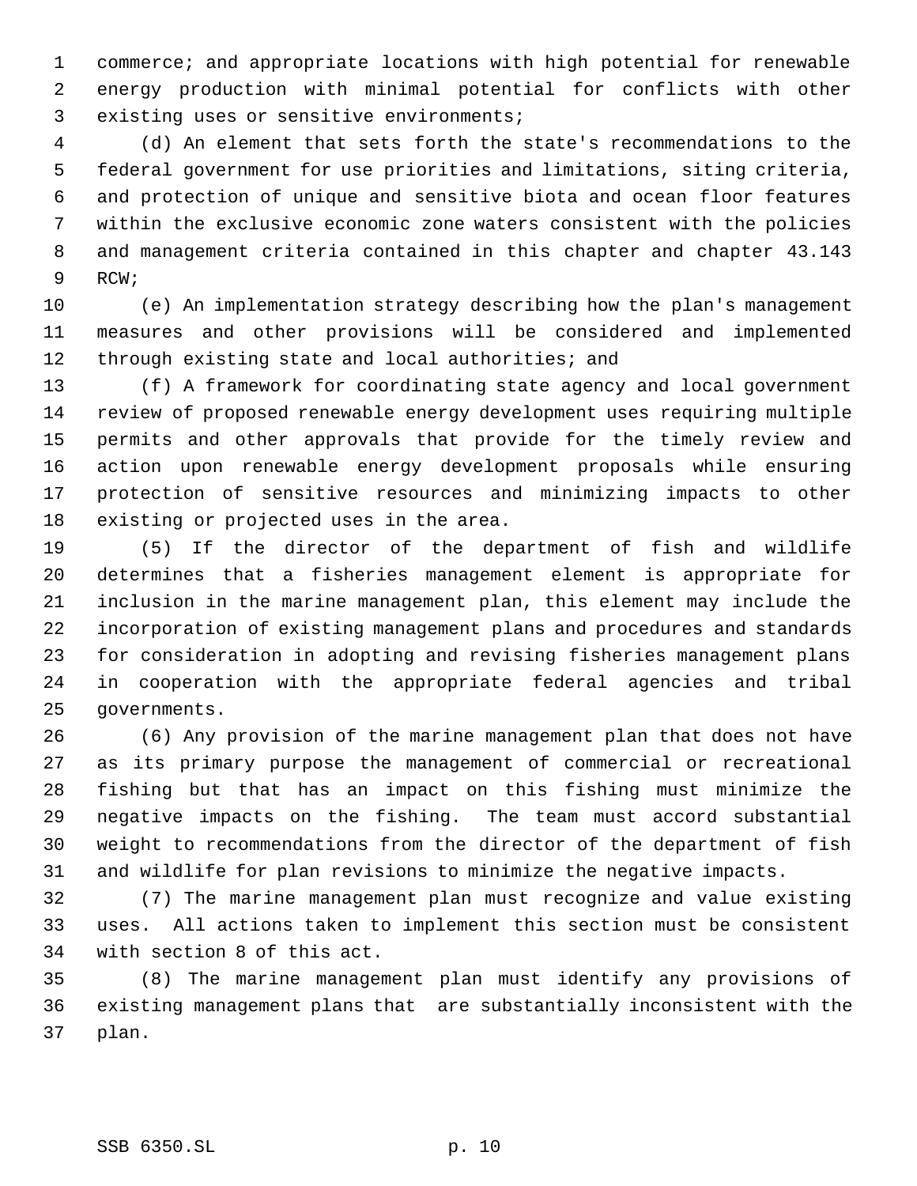commerce; and appropriate locations with high potential for renewable energy production with minimal potential for conflicts with other existing uses or sensitive environments;

 (d) An element that sets forth the state's recommendations to the federal government for use priorities and limitations, siting criteria, and protection of unique and sensitive biota and ocean floor features within the exclusive economic zone waters consistent with the policies and management criteria contained in this chapter and chapter 43.143 RCW;

 (e) An implementation strategy describing how the plan's management measures and other provisions will be considered and implemented through existing state and local authorities; and

 (f) A framework for coordinating state agency and local government review of proposed renewable energy development uses requiring multiple permits and other approvals that provide for the timely review and action upon renewable energy development proposals while ensuring protection of sensitive resources and minimizing impacts to other existing or projected uses in the area.

 (5) If the director of the department of fish and wildlife determines that a fisheries management element is appropriate for inclusion in the marine management plan, this element may include the incorporation of existing management plans and procedures and standards for consideration in adopting and revising fisheries management plans in cooperation with the appropriate federal agencies and tribal governments.

 (6) Any provision of the marine management plan that does not have as its primary purpose the management of commercial or recreational fishing but that has an impact on this fishing must minimize the negative impacts on the fishing. The team must accord substantial weight to recommendations from the director of the department of fish and wildlife for plan revisions to minimize the negative impacts.

 (7) The marine management plan must recognize and value existing uses. All actions taken to implement this section must be consistent with section 8 of this act.

 (8) The marine management plan must identify any provisions of existing management plans that are substantially inconsistent with the plan.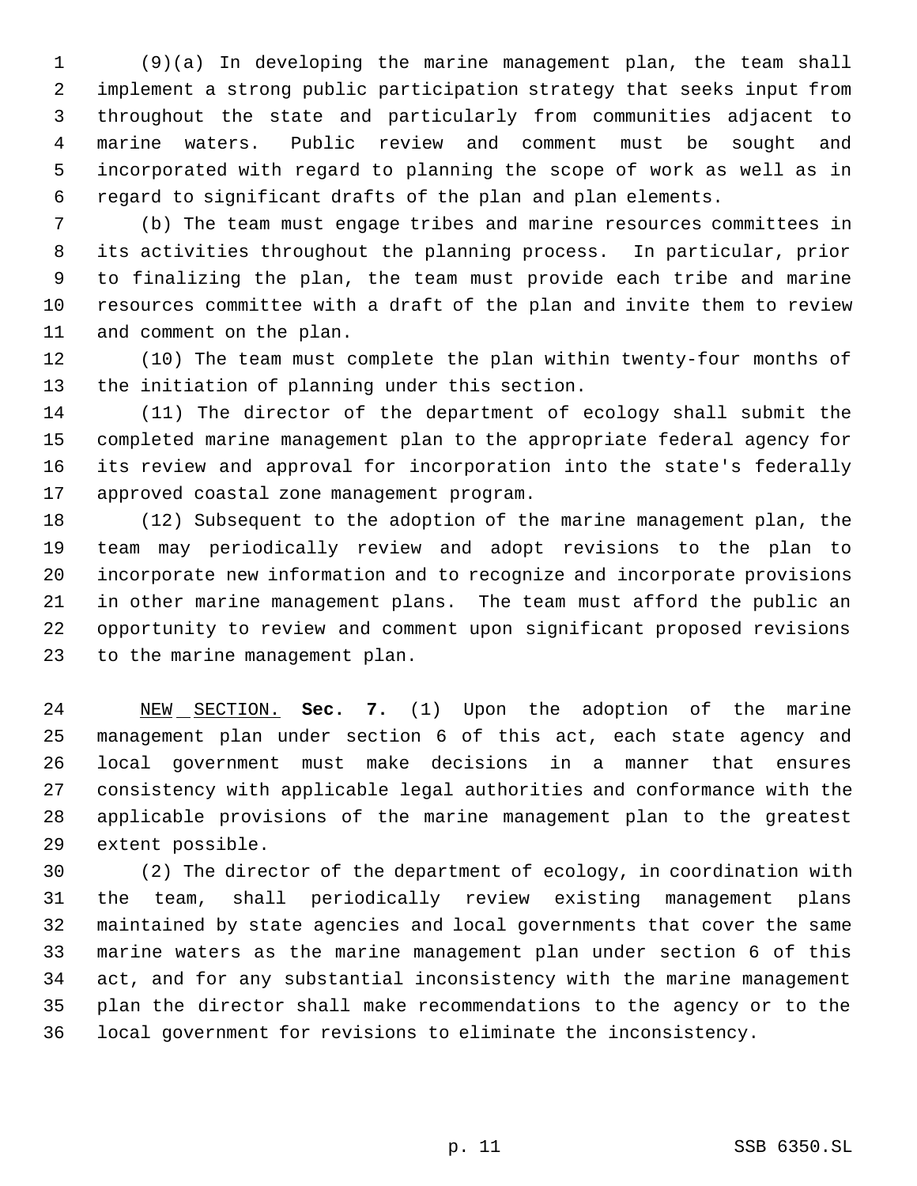(9)(a) In developing the marine management plan, the team shall implement a strong public participation strategy that seeks input from throughout the state and particularly from communities adjacent to marine waters. Public review and comment must be sought and incorporated with regard to planning the scope of work as well as in regard to significant drafts of the plan and plan elements.

 (b) The team must engage tribes and marine resources committees in its activities throughout the planning process. In particular, prior to finalizing the plan, the team must provide each tribe and marine resources committee with a draft of the plan and invite them to review and comment on the plan.

 (10) The team must complete the plan within twenty-four months of the initiation of planning under this section.

 (11) The director of the department of ecology shall submit the completed marine management plan to the appropriate federal agency for its review and approval for incorporation into the state's federally approved coastal zone management program.

 (12) Subsequent to the adoption of the marine management plan, the team may periodically review and adopt revisions to the plan to incorporate new information and to recognize and incorporate provisions in other marine management plans. The team must afford the public an opportunity to review and comment upon significant proposed revisions to the marine management plan.

 NEW SECTION. **Sec. 7.** (1) Upon the adoption of the marine management plan under section 6 of this act, each state agency and local government must make decisions in a manner that ensures consistency with applicable legal authorities and conformance with the applicable provisions of the marine management plan to the greatest extent possible.

 (2) The director of the department of ecology, in coordination with the team, shall periodically review existing management plans maintained by state agencies and local governments that cover the same marine waters as the marine management plan under section 6 of this act, and for any substantial inconsistency with the marine management plan the director shall make recommendations to the agency or to the local government for revisions to eliminate the inconsistency.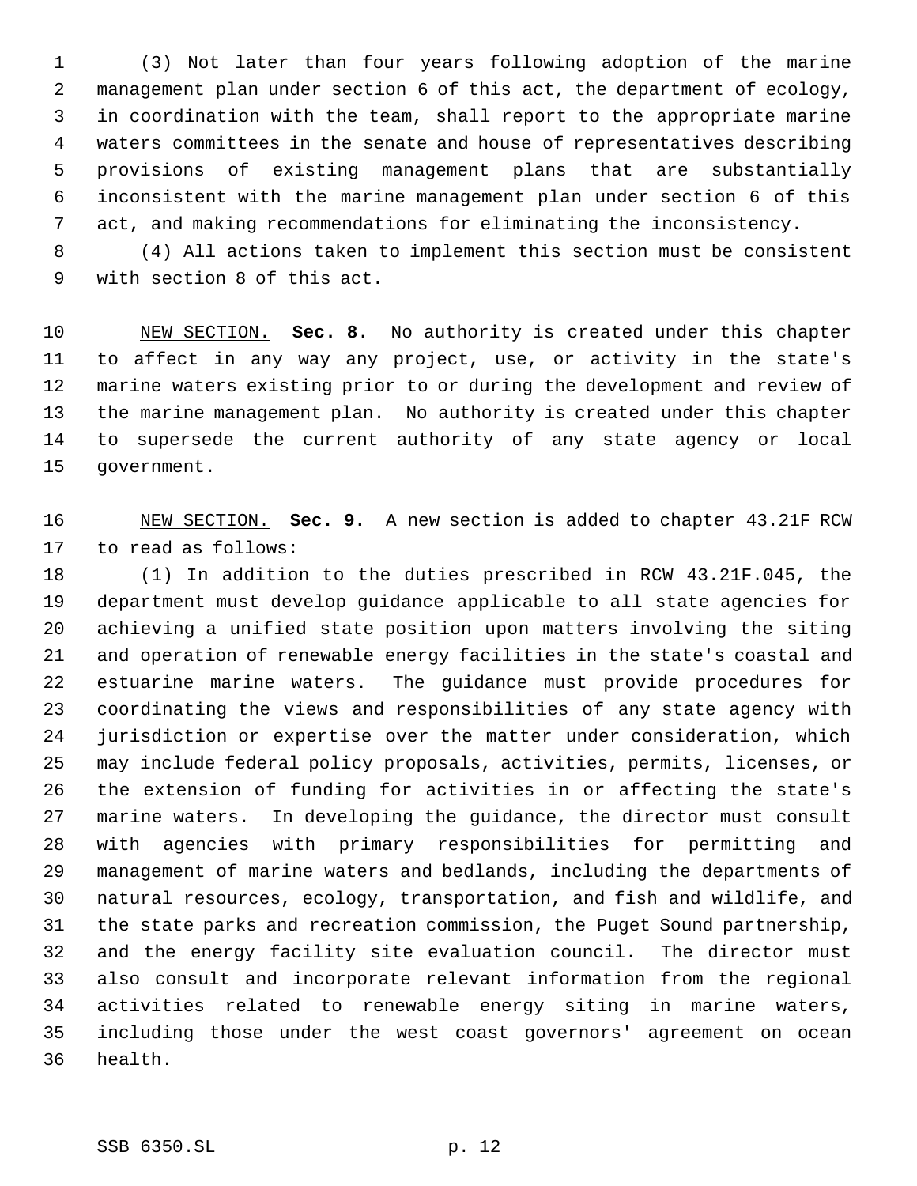(3) Not later than four years following adoption of the marine management plan under section 6 of this act, the department of ecology, in coordination with the team, shall report to the appropriate marine waters committees in the senate and house of representatives describing provisions of existing management plans that are substantially inconsistent with the marine management plan under section 6 of this act, and making recommendations for eliminating the inconsistency.

 (4) All actions taken to implement this section must be consistent with section 8 of this act.

 NEW SECTION. **Sec. 8.** No authority is created under this chapter to affect in any way any project, use, or activity in the state's marine waters existing prior to or during the development and review of the marine management plan. No authority is created under this chapter to supersede the current authority of any state agency or local government.

 NEW SECTION. **Sec. 9.** A new section is added to chapter 43.21F RCW to read as follows:

 (1) In addition to the duties prescribed in RCW 43.21F.045, the department must develop guidance applicable to all state agencies for achieving a unified state position upon matters involving the siting and operation of renewable energy facilities in the state's coastal and estuarine marine waters. The guidance must provide procedures for coordinating the views and responsibilities of any state agency with jurisdiction or expertise over the matter under consideration, which may include federal policy proposals, activities, permits, licenses, or the extension of funding for activities in or affecting the state's marine waters. In developing the guidance, the director must consult with agencies with primary responsibilities for permitting and management of marine waters and bedlands, including the departments of natural resources, ecology, transportation, and fish and wildlife, and the state parks and recreation commission, the Puget Sound partnership, and the energy facility site evaluation council. The director must also consult and incorporate relevant information from the regional activities related to renewable energy siting in marine waters, including those under the west coast governors' agreement on ocean health.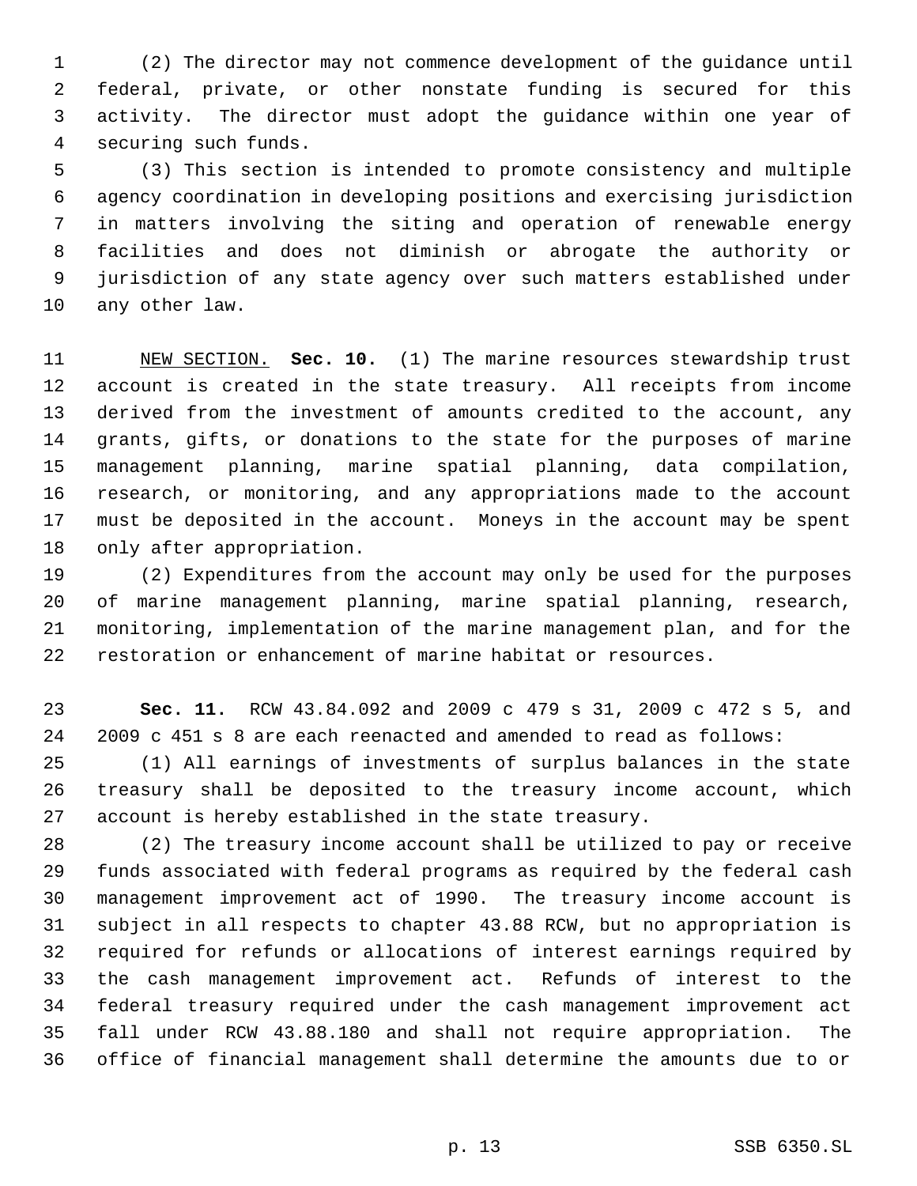(2) The director may not commence development of the guidance until federal, private, or other nonstate funding is secured for this activity. The director must adopt the guidance within one year of securing such funds.

 (3) This section is intended to promote consistency and multiple agency coordination in developing positions and exercising jurisdiction in matters involving the siting and operation of renewable energy facilities and does not diminish or abrogate the authority or jurisdiction of any state agency over such matters established under any other law.

 NEW SECTION. **Sec. 10.** (1) The marine resources stewardship trust account is created in the state treasury. All receipts from income derived from the investment of amounts credited to the account, any grants, gifts, or donations to the state for the purposes of marine management planning, marine spatial planning, data compilation, research, or monitoring, and any appropriations made to the account must be deposited in the account. Moneys in the account may be spent only after appropriation.

 (2) Expenditures from the account may only be used for the purposes of marine management planning, marine spatial planning, research, monitoring, implementation of the marine management plan, and for the restoration or enhancement of marine habitat or resources.

 **Sec. 11.** RCW 43.84.092 and 2009 c 479 s 31, 2009 c 472 s 5, and 2009 c 451 s 8 are each reenacted and amended to read as follows:

 (1) All earnings of investments of surplus balances in the state treasury shall be deposited to the treasury income account, which account is hereby established in the state treasury.

 (2) The treasury income account shall be utilized to pay or receive funds associated with federal programs as required by the federal cash management improvement act of 1990. The treasury income account is subject in all respects to chapter 43.88 RCW, but no appropriation is required for refunds or allocations of interest earnings required by the cash management improvement act. Refunds of interest to the federal treasury required under the cash management improvement act fall under RCW 43.88.180 and shall not require appropriation. The office of financial management shall determine the amounts due to or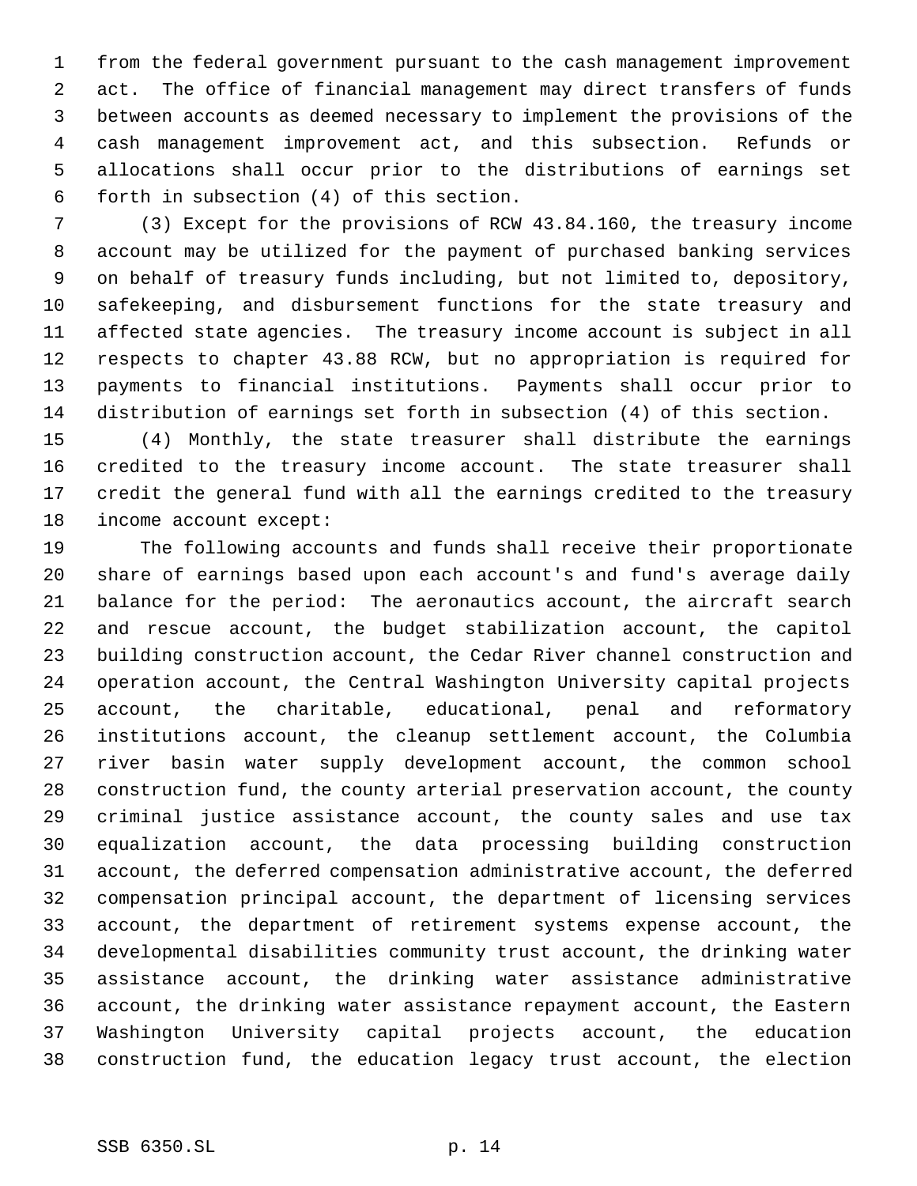from the federal government pursuant to the cash management improvement act. The office of financial management may direct transfers of funds between accounts as deemed necessary to implement the provisions of the cash management improvement act, and this subsection. Refunds or allocations shall occur prior to the distributions of earnings set forth in subsection (4) of this section.

 (3) Except for the provisions of RCW 43.84.160, the treasury income account may be utilized for the payment of purchased banking services on behalf of treasury funds including, but not limited to, depository, safekeeping, and disbursement functions for the state treasury and affected state agencies. The treasury income account is subject in all respects to chapter 43.88 RCW, but no appropriation is required for payments to financial institutions. Payments shall occur prior to distribution of earnings set forth in subsection (4) of this section.

 (4) Monthly, the state treasurer shall distribute the earnings credited to the treasury income account. The state treasurer shall credit the general fund with all the earnings credited to the treasury income account except:

 The following accounts and funds shall receive their proportionate share of earnings based upon each account's and fund's average daily balance for the period: The aeronautics account, the aircraft search and rescue account, the budget stabilization account, the capitol building construction account, the Cedar River channel construction and operation account, the Central Washington University capital projects account, the charitable, educational, penal and reformatory institutions account, the cleanup settlement account, the Columbia river basin water supply development account, the common school construction fund, the county arterial preservation account, the county criminal justice assistance account, the county sales and use tax equalization account, the data processing building construction account, the deferred compensation administrative account, the deferred compensation principal account, the department of licensing services account, the department of retirement systems expense account, the developmental disabilities community trust account, the drinking water assistance account, the drinking water assistance administrative account, the drinking water assistance repayment account, the Eastern Washington University capital projects account, the education construction fund, the education legacy trust account, the election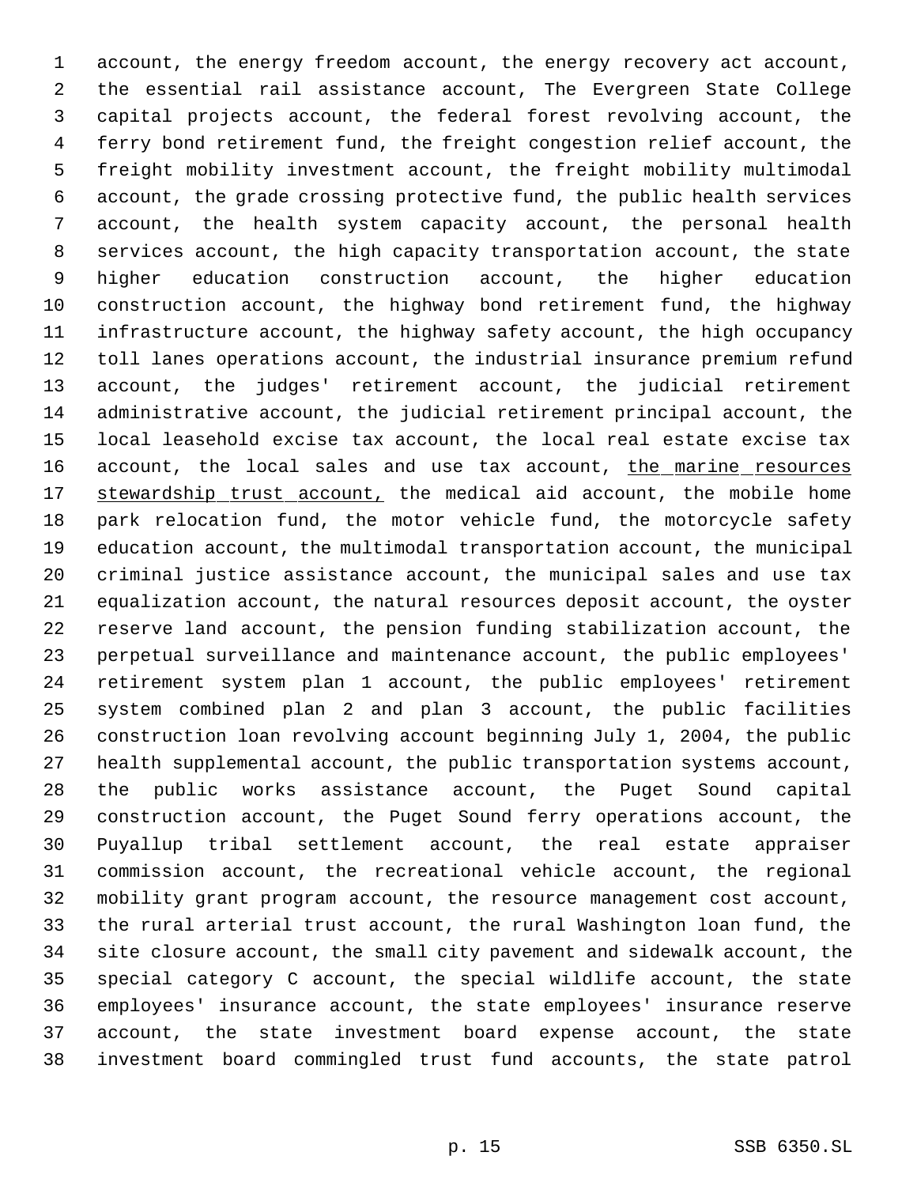account, the energy freedom account, the energy recovery act account, the essential rail assistance account, The Evergreen State College capital projects account, the federal forest revolving account, the ferry bond retirement fund, the freight congestion relief account, the freight mobility investment account, the freight mobility multimodal account, the grade crossing protective fund, the public health services account, the health system capacity account, the personal health services account, the high capacity transportation account, the state higher education construction account, the higher education construction account, the highway bond retirement fund, the highway infrastructure account, the highway safety account, the high occupancy toll lanes operations account, the industrial insurance premium refund account, the judges' retirement account, the judicial retirement administrative account, the judicial retirement principal account, the local leasehold excise tax account, the local real estate excise tax 16 account, the local sales and use tax account, the marine resources 17 stewardship trust account, the medical aid account, the mobile home park relocation fund, the motor vehicle fund, the motorcycle safety education account, the multimodal transportation account, the municipal criminal justice assistance account, the municipal sales and use tax equalization account, the natural resources deposit account, the oyster reserve land account, the pension funding stabilization account, the perpetual surveillance and maintenance account, the public employees' retirement system plan 1 account, the public employees' retirement system combined plan 2 and plan 3 account, the public facilities construction loan revolving account beginning July 1, 2004, the public health supplemental account, the public transportation systems account, the public works assistance account, the Puget Sound capital construction account, the Puget Sound ferry operations account, the Puyallup tribal settlement account, the real estate appraiser commission account, the recreational vehicle account, the regional mobility grant program account, the resource management cost account, the rural arterial trust account, the rural Washington loan fund, the site closure account, the small city pavement and sidewalk account, the special category C account, the special wildlife account, the state employees' insurance account, the state employees' insurance reserve account, the state investment board expense account, the state investment board commingled trust fund accounts, the state patrol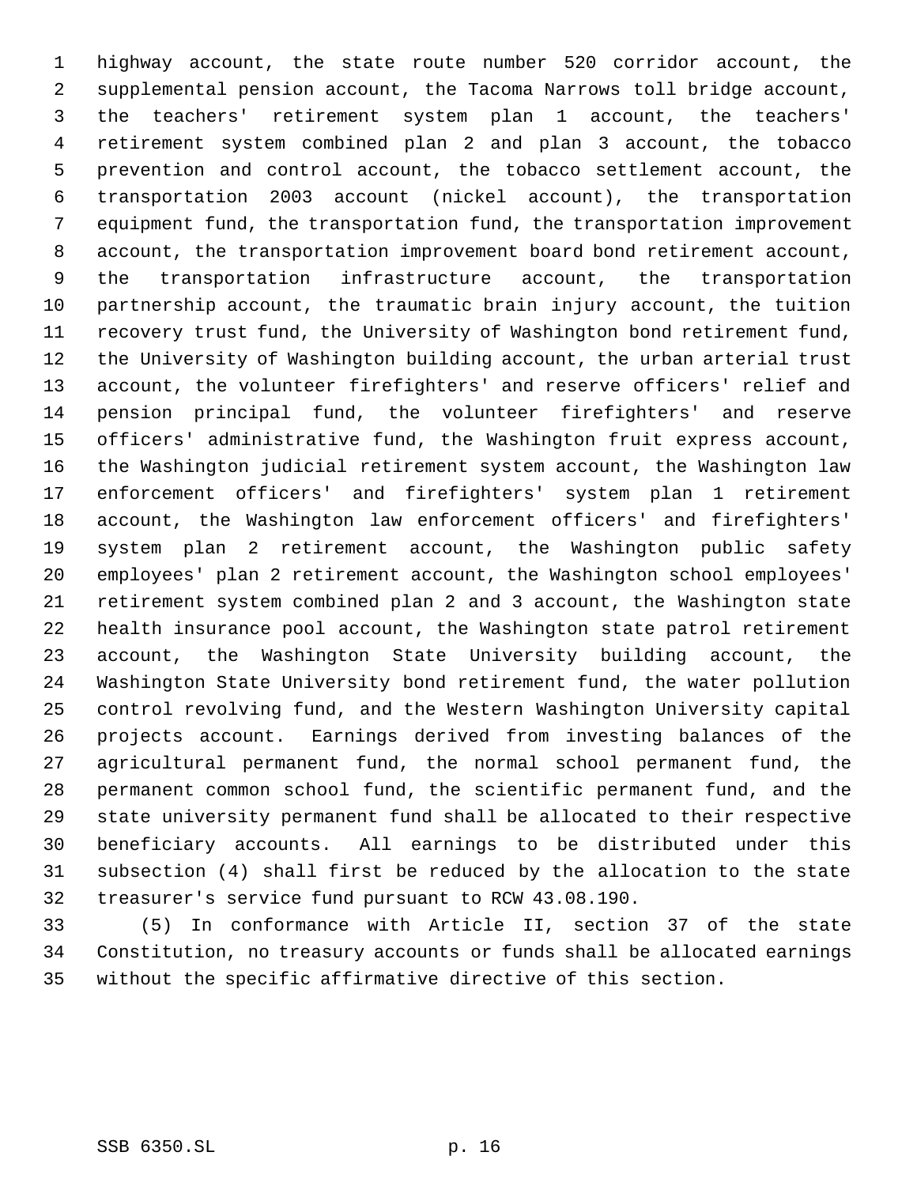highway account, the state route number 520 corridor account, the supplemental pension account, the Tacoma Narrows toll bridge account, the teachers' retirement system plan 1 account, the teachers' retirement system combined plan 2 and plan 3 account, the tobacco prevention and control account, the tobacco settlement account, the transportation 2003 account (nickel account), the transportation equipment fund, the transportation fund, the transportation improvement account, the transportation improvement board bond retirement account, the transportation infrastructure account, the transportation partnership account, the traumatic brain injury account, the tuition recovery trust fund, the University of Washington bond retirement fund, the University of Washington building account, the urban arterial trust account, the volunteer firefighters' and reserve officers' relief and pension principal fund, the volunteer firefighters' and reserve officers' administrative fund, the Washington fruit express account, the Washington judicial retirement system account, the Washington law enforcement officers' and firefighters' system plan 1 retirement account, the Washington law enforcement officers' and firefighters' system plan 2 retirement account, the Washington public safety employees' plan 2 retirement account, the Washington school employees' retirement system combined plan 2 and 3 account, the Washington state health insurance pool account, the Washington state patrol retirement account, the Washington State University building account, the Washington State University bond retirement fund, the water pollution control revolving fund, and the Western Washington University capital projects account. Earnings derived from investing balances of the agricultural permanent fund, the normal school permanent fund, the permanent common school fund, the scientific permanent fund, and the state university permanent fund shall be allocated to their respective beneficiary accounts. All earnings to be distributed under this subsection (4) shall first be reduced by the allocation to the state treasurer's service fund pursuant to RCW 43.08.190.

 (5) In conformance with Article II, section 37 of the state Constitution, no treasury accounts or funds shall be allocated earnings without the specific affirmative directive of this section.